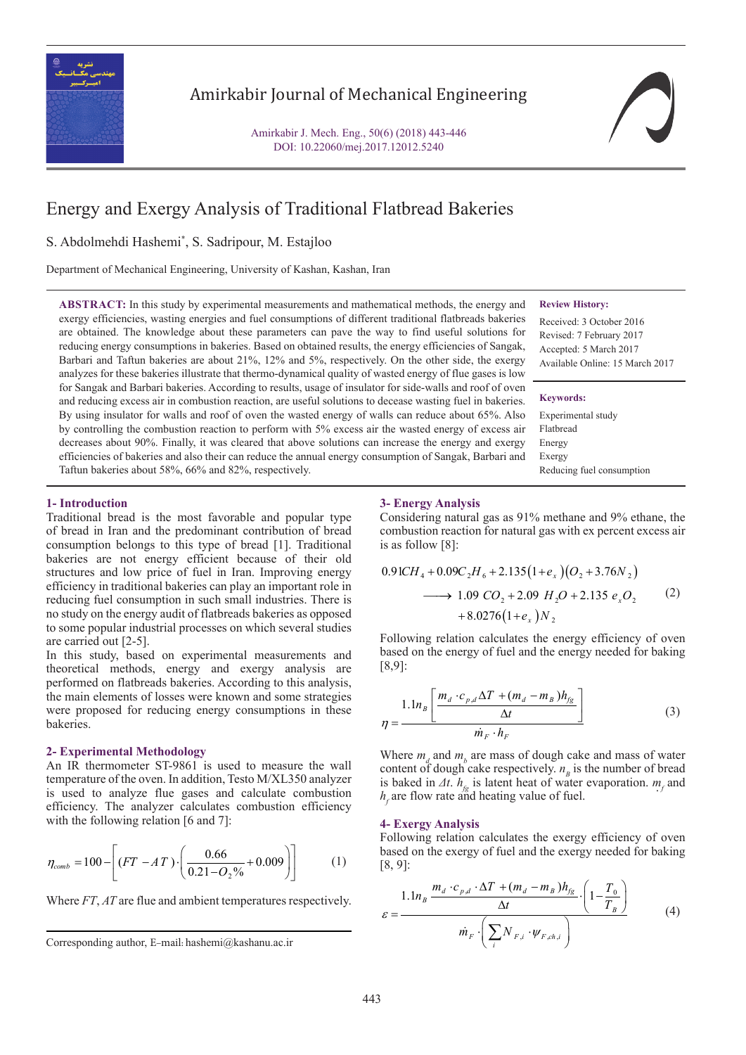

# Amirkabir Journal of Mechanical Engineering

Amirkabir J. Mech. Eng., 50(6) (2018) 443-446 DOI: 10.22060/mej.2017.12012.5240

# Energy and Exergy Analysis of Traditional Flatbread Bakeries

S. Abdolmehdi Hashemi\* , S. Sadripour, M. Estajloo

Department of Mechanical Engineering, University of Kashan, Kashan, Iran

**ABSTRACT:** In this study by experimental measurements and mathematical methods, the energy and exergy efficiencies, wasting energies and fuel consumptions of different traditional flatbreads bakeries are obtained. The knowledge about these parameters can pave the way to find useful solutions for reducing energy consumptions in bakeries. Based on obtained results, the energy efficiencies of Sangak, Barbari and Taftun bakeries are about 21%, 12% and 5%, respectively. On the other side, the exergy analyzes for these bakeries illustrate that thermo-dynamical quality of wasted energy of flue gases is low for Sangak and Barbari bakeries. According to results, usage of insulator for side-walls and roof of oven and reducing excess air in combustion reaction, are useful solutions to decease wasting fuel in bakeries. By using insulator for walls and roof of oven the wasted energy of walls can reduce about 65%. Also by controlling the combustion reaction to perform with 5% excess air the wasted energy of excess air decreases about 90%. Finally, it was cleared that above solutions can increase the energy and exergy efficiencies of bakeries and also their can reduce the annual energy consumption of Sangak, Barbari and Taftun bakeries about 58%, 66% and 82%, respectively.

### **Review History:**

Received: 3 October 2016 Revised: 7 February 2017 Accepted: 5 March 2017 Available Online: 15 March 2017

### **Keywords:**

Experimental study Flatbread Energy Exergy Reducing fuel consumption

## **1- Introduction**

Traditional bread is the most favorable and popular type of bread in Iran and the predominant contribution of bread consumption belongs to this type of bread [1]. Traditional bakeries are not energy efficient because of their old structures and low price of fuel in Iran. Improving energy efficiency in traditional bakeries can play an important role in reducing fuel consumption in such small industries. There is no study on the energy audit of flatbreads bakeries as opposed to some popular industrial processes on which several studies are carried out [2-5].

In this study, based on experimental measurements and theoretical methods, energy and exergy analysis are performed on flatbreads bakeries. According to this analysis, the main elements of losses were known and some strategies were proposed for reducing energy consumptions in these bakeries.

# **2- Experimental Methodology**

An IR thermometer ST-9861 is used to measure the wall temperature of the oven. In addition, Testo M/XL350 analyzer is used to analyze flue gases and calculate combustion efficiency. The analyzer calculates combustion efficiency with the following relation [6 and 7]:

$$
\eta_{comb} = 100 - \left[ (FT - AT) \cdot \left( \frac{0.66}{0.21 - O_2\%} + 0.009 \right) \right] \tag{1}
$$

 $\frac{1}{\sqrt{2}}$ Where *FT*, *AT* are flue and ambient temperatures respectively.

### **3- Energy Analysis**

Considering natural gas as 91% methane and 9% ethane, the Considering natural gas as 91% methane and 9% ethane, the combustion reaction for natural gas with ex percent excess air is as follow [8]:  $\frac{1}{2}$ .  $\delta$ .

$$
0.91CH_4 + 0.09C_2H_6 + 2.135(1+e_x)(O_2 + 3.76N_2)
$$
  
\n
$$
\longrightarrow 1.09 \ CO_2 + 2.09 \ H_2O + 2.135 \ e_xO_2
$$
  
\n
$$
+ 8.0276(1+e_x)N_2
$$
 (2)

based on the energy of fuel and the energy needed for baking [8,9]: Following relation calculates the energy efficiency of oven [8,9]:

$$
[8,9]:
$$
  
\n
$$
\eta = \frac{1.1n_B \left[ \frac{m_d \cdot c_{p,d} \Delta T + (m_d - m_B)h_{fg}}{\Delta t} \right]}{\dot{m}_F \cdot h_F}
$$
\n(3)

 $\dot{m}_F \cdot h_F$ <br>Where  $m_d$  and  $m_b$  are mass of dough cake are  $m_F \cdot h_F$ <br>
Where  $m_d$  and  $m_b$  are mass of dough cake and mass of water content of dough cake respectively.  $n<sub>g</sub>$  is the number of bread<br>is baked in  $\Delta t$ .  $h<sub>g</sub>$  is latent heat of water evaporation.  $m<sub>f</sub>$  and<br> $h<sub>f</sub>$  are flow rate and heating value of fuel. content of dough cake respectively.  $n_B$  is the number of bread  $h_f$  are flow rate and heating value of fuel.

# *F F i F ch i m N* **4- Exergy Analysis** , ( ) 1.1 *B n*

**4- Exergy Analysis**<br>Following relation calculates the exergy efficiency of oven<br>hased on the exergy of fuel and the exergy needed for baking based on the exergy of fuel and the exergy needed for baking [8, 9]:

Where *FT*, *AT* are flue and ambient temperatures respectively.  
\n
$$
\mathcal{E} = \frac{1.1n_B \frac{m_d \cdot c_{p,d} \cdot \Delta T + (m_d - m_B)h_{fg}}{\Delta t} \cdot \left(1 - \frac{T_0}{T_B}\right)}{m_F \cdot \left(\sum_i N_{F,i} \cdot \psi_{F,chi}\right)}
$$
(4)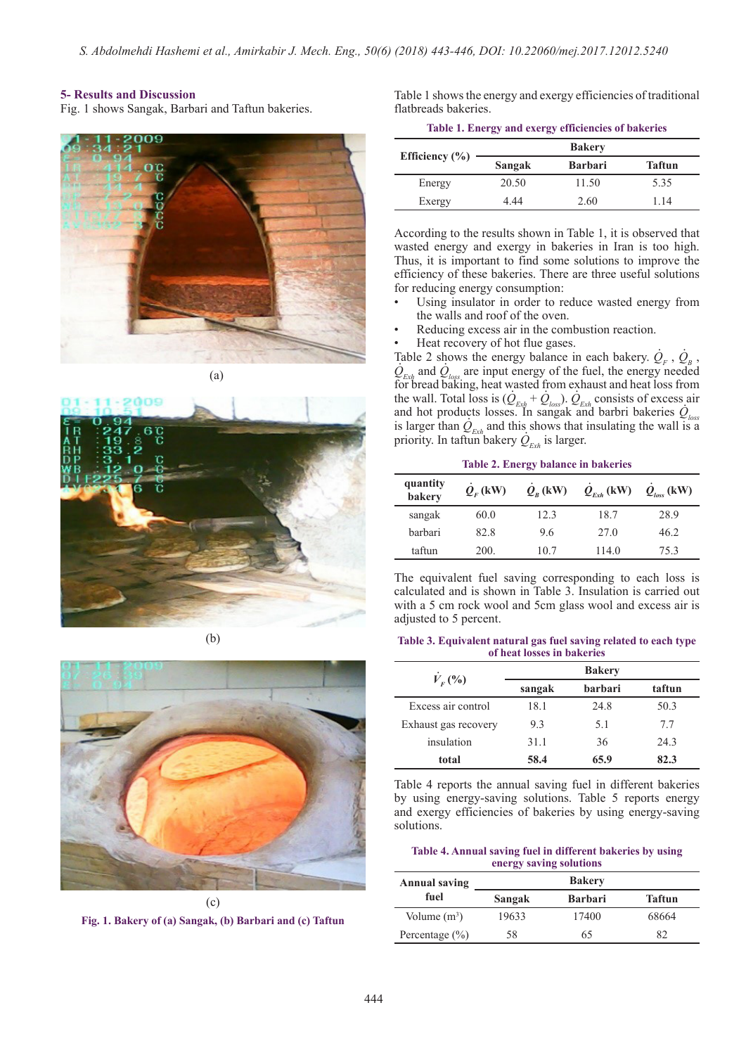### **5- Results and Discussion**

Fig. 1 shows Sangak, Barbari and Taftun bakeries.







(b)



**Fig. 1. Bakery of (a) Sangak, (b) Barbari and (c) Taftun**

Table 1 shows the energy and exergy efficiencies of traditional flatbreads bakeries.

|  | Table 1. Energy and exergy efficiencies of bakeries |  |  |
|--|-----------------------------------------------------|--|--|
|  |                                                     |  |  |

|                    | <b>Bakery</b> |                |               |  |
|--------------------|---------------|----------------|---------------|--|
| Efficiency $(\% )$ | Sangak        | <b>Barbari</b> | <b>Taftun</b> |  |
| Energy             | 20.50         | 11.50          | 5.35          |  |
| Exergy             | 4.44          | 2.60           | 1.14          |  |

According to the results shown in Table 1, it is observed that wasted energy and exergy in bakeries in Iran is too high. Thus, it is important to find some solutions to improve the efficiency of these bakeries. There are three useful solutions for reducing energy consumption:

- Using insulator in order to reduce wasted energy from the walls and roof of the oven.
- Reducing excess air in the combustion reaction.
- Heat recovery of hot flue gases.

Table 2 shows the energy balance in each bakery.  $Q_F$ ,  $Q_B$ ,  $Q_{Exh}$  and  $Q_{loss}$  are input energy of the fuel, the energy needed for bread baking, heat wasted from exhaust and heat loss from the wall. Total loss is  $(Q_{Exh} + Q_{loss})$ .  $Q_{Exh}$  consists of excess air and hot products losses. In sangak and barbri bakeries  $Q_{loss}$ is larger than  $Q_{Exh}$  and this shows that insulating the wall is a priority. In taftun bakery  $Q_{_{E\!xh}}$  is larger. . .  $\frac{1}{2}$  able  $\frac{2}{3}$  sh asted from ex . . .<br>.

**Table 2. Energy balance in bakeries**

| quantity<br>bakery | $Q_{\nu}$ (kW) | $Q_{R}$ (kW) | $Q_{Exh}$ (kW) | $Q_{loss}$ (kW) |
|--------------------|----------------|--------------|----------------|-----------------|
| sangak             | 60.0           | 12.3         | 18.7           | 28.9            |
| barbari            | 82.8           | 9.6          | 27.0           | 46.2            |
| taftun             | 200.           | 10.7         | 114.0          | 75.3            |

The equivalent fuel saving corresponding to each loss is calculated and is shown in Table 3. Insulation is carried out with a 5 cm rock wool and 5cm glass wool and excess air is adjusted to 5 percent.

### **Table 3. Equivalent natural gas fuel saving related to each type of heat losses in bakeries**

| $V_{F}(%)$           | sangak | <b>barbari</b> | taftun |
|----------------------|--------|----------------|--------|
| Excess air control   | 18.1   | 24.8           | 50.3   |
| Exhaust gas recovery | 9.3    | 5.1            | 7.7    |
| insulation           | 31.1   | 36             | 24.3   |
| total                | 58.4   | 65.9           | 82.3   |

Table 4 reports the annual saving fuel in different bakeries by using energy-saving solutions. Table 5 reports energy and exergy efficiencies of bakeries by using energy-saving solutions.

### **Table 4. Annual saving fuel in different bakeries by using energy saving solutions**

| <b>Annual saving</b> |        | <b>Bakery</b>  |               |
|----------------------|--------|----------------|---------------|
| fuel                 | Sangak | <b>Barbari</b> | <b>Taftun</b> |
| Volume $(m^3)$       | 19633  | 17400          | 68664         |
| Percentage $(\% )$   | 58     | 65             | 82            |